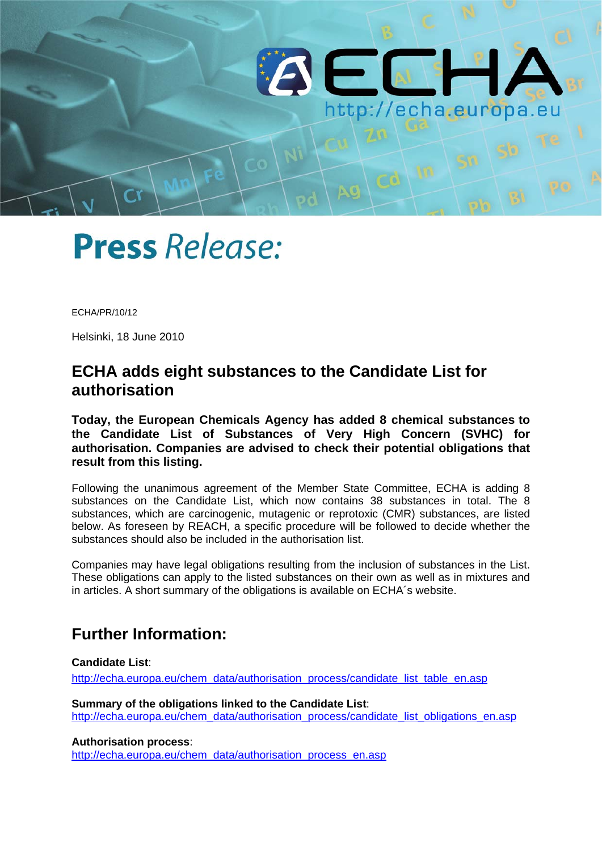

# **Press Release:**

ECHA/PR/10/12

Helsinki, 18 June 2010

## **ECHA adds eight substances to the Candidate List for authorisation**

**Today, the European Chemicals Agency has added 8 chemical substances to the Candidate List of Substances of Very High Concern (SVHC) for authorisation. Companies are advised to check their potential obligations that result from this listing.** 

Following the unanimous agreement of the Member State Committee, ECHA is adding 8 substances on the Candidate List, which now contains 38 substances in total. The 8 substances, which are carcinogenic, mutagenic or reprotoxic (CMR) substances, are listed below. As foreseen by REACH, a specific procedure will be followed to decide whether the substances should also be included in the authorisation list.

Companies may have legal obligations resulting from the inclusion of substances in the List. These obligations can apply to the listed substances on their own as well as in mixtures and in articles. A short summary of the obligations is available on ECHA´s website.

## **Further Information:**

#### **Candidate List**:

[http://echa.europa.eu/chem\\_data/authorisation\\_process/candidate\\_list\\_table\\_en.asp](http://echa.europa.eu/chem_data/authorisation_process/candidate_list_table_en.asp)

**Summary of the obligations linked to the Candidate List**: [http://echa.europa.eu/chem\\_data/authorisation\\_process/candidate\\_list\\_obligations\\_en.asp](http://echa.europa.eu/chem_data/authorisation_process/candidate_list_obligations_en.asp)

**Authorisation process**:

[http://echa.europa.eu/chem\\_data/authorisation\\_process\\_en.asp](http://echa.europa.eu/chem_data/authorisation_process_en.asp)